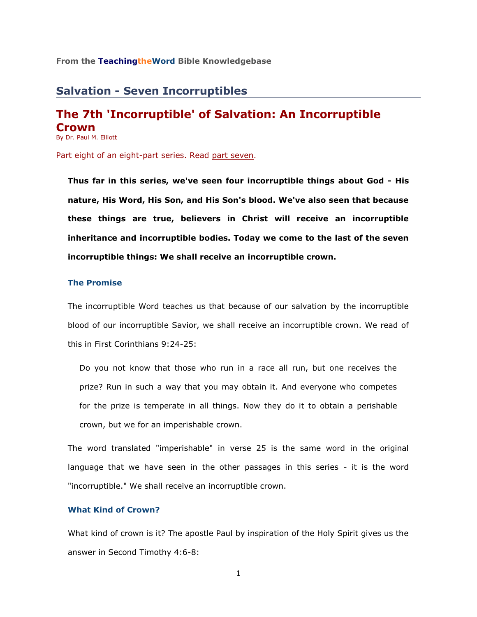## **From the TeachingtheWord Bible Knowledgebase**\_\_\_\_\_\_\_\_\_\_\_\_\_\_\_\_\_\_\_\_\_\_\_\_

# **Salvation - Seven Incorruptibles**

# **The 7th 'Incorruptible' of Salvation: An Incorruptible Crown**

By Dr. Paul M. Elliott

Part eight of an eight-part series. Read [part seven.](http://www.teachingtheword.org/apps/articles/web/articleid/61123/columnid/5861/default.asp)

**Thus far in this series, we've seen four incorruptible things about God - His nature, His Word, His Son, and His Son's blood. We've also seen that because these things are true, believers in Christ will receive an incorruptible inheritance and incorruptible bodies. Today we come to the last of the seven incorruptible things: We shall receive an incorruptible crown.** 

# **The Promise**

The incorruptible Word teaches us that because of our salvation by the incorruptible blood of our incorruptible Savior, we shall receive an incorruptible crown. We read of this in First Corinthians 9:24-25:

Do you not know that those who run in a race all run, but one receives the prize? Run in such a way that you may obtain it. And everyone who competes for the prize is temperate in all things. Now they do it to obtain a perishable crown, but we for an imperishable crown.

The word translated "imperishable" in verse 25 is the same word in the original language that we have seen in the other passages in this series - it is the word "incorruptible." We shall receive an incorruptible crown.

## **What Kind of Crown?**

What kind of crown is it? The apostle Paul by inspiration of the Holy Spirit gives us the answer in Second Timothy 4:6-8: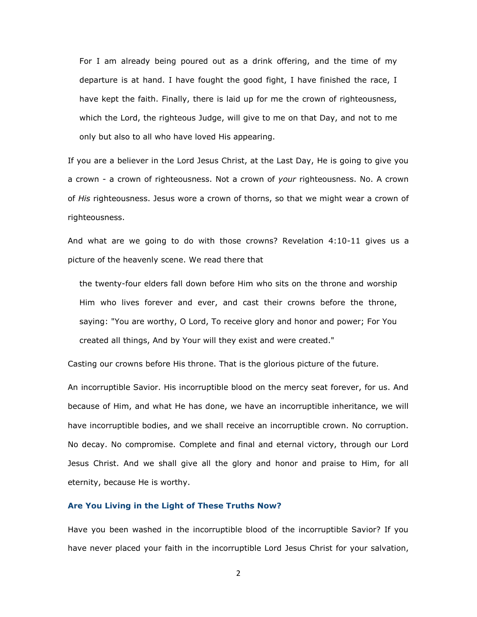For I am already being poured out as a drink offering, and the time of my departure is at hand. I have fought the good fight, I have finished the race, I have kept the faith. Finally, there is laid up for me the crown of righteousness, which the Lord, the righteous Judge, will give to me on that Day, and not to me only but also to all who have loved His appearing.

If you are a believer in the Lord Jesus Christ, at the Last Day, He is going to give you a crown - a crown of righteousness. Not a crown of *your* righteousness. No. A crown of *His* righteousness. Jesus wore a crown of thorns, so that we might wear a crown of righteousness.

And what are we going to do with those crowns? Revelation 4:10-11 gives us a picture of the heavenly scene. We read there that

the twenty-four elders fall down before Him who sits on the throne and worship Him who lives forever and ever, and cast their crowns before the throne, saying: "You are worthy, O Lord, To receive glory and honor and power; For You created all things, And by Your will they exist and were created."

Casting our crowns before His throne. That is the glorious picture of the future.

An incorruptible Savior. His incorruptible blood on the mercy seat forever, for us. And because of Him, and what He has done, we have an incorruptible inheritance, we will have incorruptible bodies, and we shall receive an incorruptible crown. No corruption. No decay. No compromise. Complete and final and eternal victory, through our Lord Jesus Christ. And we shall give all the glory and honor and praise to Him, for all eternity, because He is worthy.

#### **Are You Living in the Light of These Truths Now?**

Have you been washed in the incorruptible blood of the incorruptible Savior? If you have never placed your faith in the incorruptible Lord Jesus Christ for your salvation,

2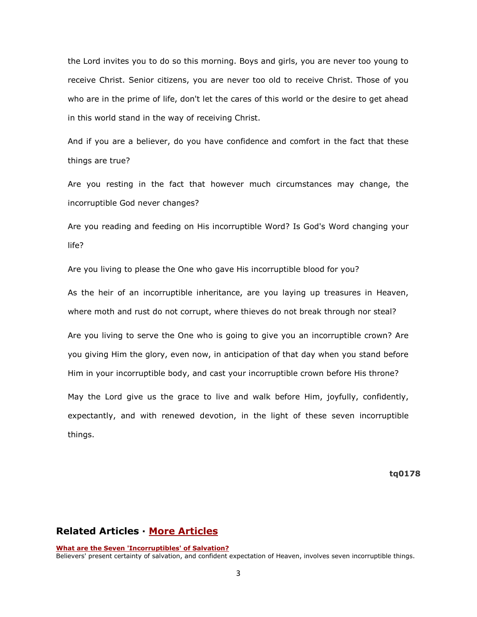the Lord invites you to do so this morning. Boys and girls, you are never too young to receive Christ. Senior citizens, you are never too old to receive Christ. Those of you who are in the prime of life, don't let the cares of this world or the desire to get ahead in this world stand in the way of receiving Christ.

And if you are a believer, do you have confidence and comfort in the fact that these things are true?

Are you resting in the fact that however much circumstances may change, the incorruptible God never changes?

Are you reading and feeding on His incorruptible Word? Is God's Word changing your life?

Are you living to please the One who gave His incorruptible blood for you?

As the heir of an incorruptible inheritance, are you laying up treasures in Heaven, where moth and rust do not corrupt, where thieves do not break through nor steal?

Are you living to serve the One who is going to give you an incorruptible crown? Are you giving Him the glory, even now, in anticipation of that day when you stand before Him in your incorruptible body, and cast your incorruptible crown before His throne?

May the Lord give us the grace to live and walk before Him, joyfully, confidently, expectantly, and with renewed devotion, in the light of these seven incorruptible things.

**tq0178**

# **Related Articles · [More Articles](http://73011.netministry.com/apps/articles/web/columnid/5861/default.asp)**

**[What are the Seven 'Incorruptibles' of Salvation?](http://73011.netministry.com/apps/articles/web/articleid/61117/columnid/5861/default.asp)** Believers' present certainty of salvation, and confident expectation of Heaven, involves seven incorruptible things.

3